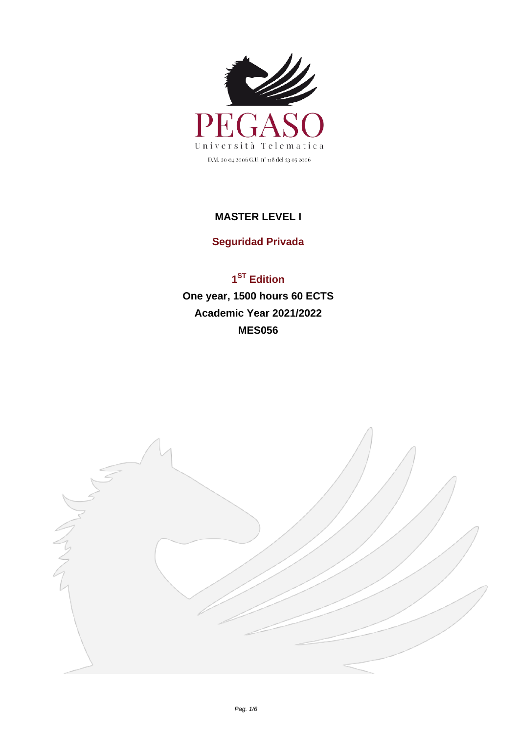

## **MASTER LEVEL I**

## **Seguridad Privada**

## **1 ST Edition One year, 1500 hours 60 ECTS Academic Year 2021/2022 MES056**

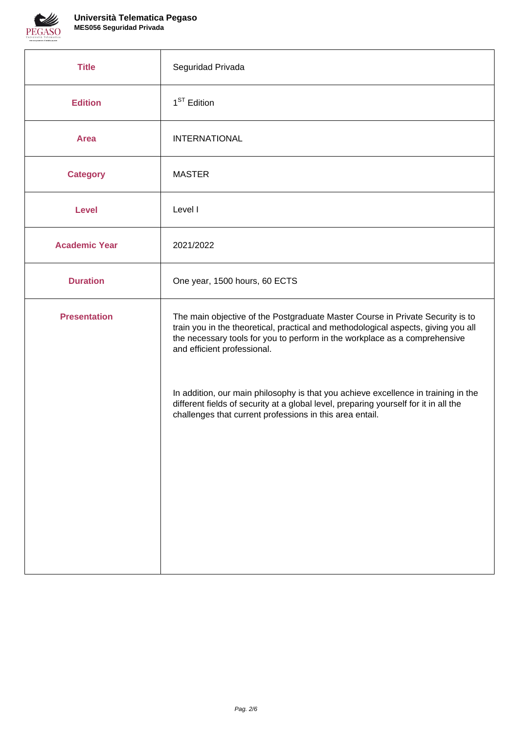

| <b>Title</b>         | Seguridad Privada                                                                                                                                                                                                                                                                 |
|----------------------|-----------------------------------------------------------------------------------------------------------------------------------------------------------------------------------------------------------------------------------------------------------------------------------|
| <b>Edition</b>       | $1ST$ Edition                                                                                                                                                                                                                                                                     |
| <b>Area</b>          | <b>INTERNATIONAL</b>                                                                                                                                                                                                                                                              |
| <b>Category</b>      | <b>MASTER</b>                                                                                                                                                                                                                                                                     |
| <b>Level</b>         | Level I                                                                                                                                                                                                                                                                           |
| <b>Academic Year</b> | 2021/2022                                                                                                                                                                                                                                                                         |
| <b>Duration</b>      | One year, 1500 hours, 60 ECTS                                                                                                                                                                                                                                                     |
| <b>Presentation</b>  | The main objective of the Postgraduate Master Course in Private Security is to<br>train you in the theoretical, practical and methodological aspects, giving you all<br>the necessary tools for you to perform in the workplace as a comprehensive<br>and efficient professional. |
|                      | In addition, our main philosophy is that you achieve excellence in training in the<br>different fields of security at a global level, preparing yourself for it in all the<br>challenges that current professions in this area entail.                                            |
|                      |                                                                                                                                                                                                                                                                                   |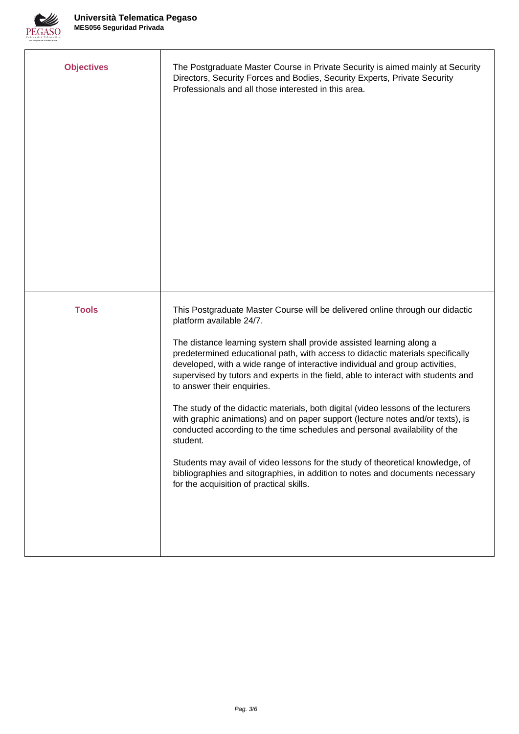

| <b>Objectives</b> | The Postgraduate Master Course in Private Security is aimed mainly at Security<br>Directors, Security Forces and Bodies, Security Experts, Private Security<br>Professionals and all those interested in this area.                                                                                                                                                                                                                                                                                                                                                                                                                                                                                                                                                                                                                                                                                                                                    |
|-------------------|--------------------------------------------------------------------------------------------------------------------------------------------------------------------------------------------------------------------------------------------------------------------------------------------------------------------------------------------------------------------------------------------------------------------------------------------------------------------------------------------------------------------------------------------------------------------------------------------------------------------------------------------------------------------------------------------------------------------------------------------------------------------------------------------------------------------------------------------------------------------------------------------------------------------------------------------------------|
| <b>Tools</b>      | This Postgraduate Master Course will be delivered online through our didactic<br>platform available 24/7.<br>The distance learning system shall provide assisted learning along a<br>predetermined educational path, with access to didactic materials specifically<br>developed, with a wide range of interactive individual and group activities,<br>supervised by tutors and experts in the field, able to interact with students and<br>to answer their enquiries.<br>The study of the didactic materials, both digital (video lessons of the lecturers<br>with graphic animations) and on paper support (lecture notes and/or texts), is<br>conducted according to the time schedules and personal availability of the<br>student.<br>Students may avail of video lessons for the study of theoretical knowledge, of<br>bibliographies and sitographies, in addition to notes and documents necessary<br>for the acquisition of practical skills. |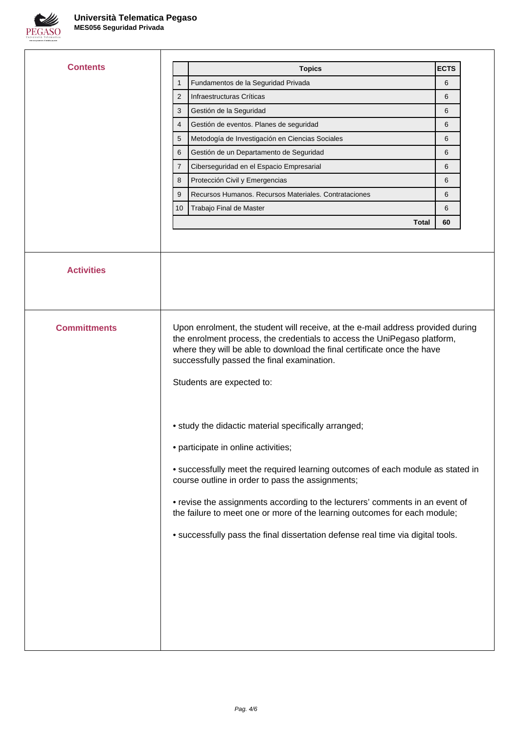

 $\overline{1}$ 

| Contents            |                                                                                                                                    | <b>Topics</b>                                                                                                                                                                                                                                                                                                                                                             | <b>ECTS</b> |  |  |
|---------------------|------------------------------------------------------------------------------------------------------------------------------------|---------------------------------------------------------------------------------------------------------------------------------------------------------------------------------------------------------------------------------------------------------------------------------------------------------------------------------------------------------------------------|-------------|--|--|
|                     | 1                                                                                                                                  | Fundamentos de la Seguridad Privada                                                                                                                                                                                                                                                                                                                                       | 6           |  |  |
|                     | $\overline{2}$                                                                                                                     | Infraestructuras Críticas                                                                                                                                                                                                                                                                                                                                                 | 6           |  |  |
|                     | 3                                                                                                                                  | Gestión de la Seguridad                                                                                                                                                                                                                                                                                                                                                   | 6           |  |  |
|                     | $\overline{4}$                                                                                                                     | Gestión de eventos. Planes de seguridad                                                                                                                                                                                                                                                                                                                                   | 6           |  |  |
|                     | 5                                                                                                                                  | Metodogía de Investigación en Ciencias Sociales                                                                                                                                                                                                                                                                                                                           | 6           |  |  |
|                     | 6                                                                                                                                  | Gestión de un Departamento de Seguridad                                                                                                                                                                                                                                                                                                                                   | 6           |  |  |
|                     | $\overline{7}$                                                                                                                     | Ciberseguridad en el Espacio Empresarial                                                                                                                                                                                                                                                                                                                                  | 6           |  |  |
|                     | 8                                                                                                                                  | Protección Civil y Emergencias                                                                                                                                                                                                                                                                                                                                            | 6           |  |  |
|                     | 9                                                                                                                                  | Recursos Humanos. Recursos Materiales. Contrataciones                                                                                                                                                                                                                                                                                                                     | 6           |  |  |
|                     | 10 <sup>1</sup>                                                                                                                    | Trabajo Final de Master                                                                                                                                                                                                                                                                                                                                                   | 6           |  |  |
|                     |                                                                                                                                    | Total                                                                                                                                                                                                                                                                                                                                                                     | 60          |  |  |
|                     |                                                                                                                                    |                                                                                                                                                                                                                                                                                                                                                                           |             |  |  |
|                     |                                                                                                                                    |                                                                                                                                                                                                                                                                                                                                                                           |             |  |  |
| <b>Activities</b>   |                                                                                                                                    |                                                                                                                                                                                                                                                                                                                                                                           |             |  |  |
| <b>Committments</b> |                                                                                                                                    | Upon enrolment, the student will receive, at the e-mail address provided during<br>the enrolment process, the credentials to access the UniPegaso platform,<br>where they will be able to download the final certificate once the have<br>successfully passed the final examination.<br>Students are expected to:<br>• study the didactic material specifically arranged; |             |  |  |
|                     | • participate in online activities;                                                                                                |                                                                                                                                                                                                                                                                                                                                                                           |             |  |  |
|                     | • successfully meet the required learning outcomes of each module as stated in<br>course outline in order to pass the assignments; |                                                                                                                                                                                                                                                                                                                                                                           |             |  |  |
|                     |                                                                                                                                    | • revise the assignments according to the lecturers' comments in an event of<br>the failure to meet one or more of the learning outcomes for each module;                                                                                                                                                                                                                 |             |  |  |
|                     |                                                                                                                                    | • successfully pass the final dissertation defense real time via digital tools.                                                                                                                                                                                                                                                                                           |             |  |  |
|                     |                                                                                                                                    |                                                                                                                                                                                                                                                                                                                                                                           |             |  |  |
|                     |                                                                                                                                    |                                                                                                                                                                                                                                                                                                                                                                           |             |  |  |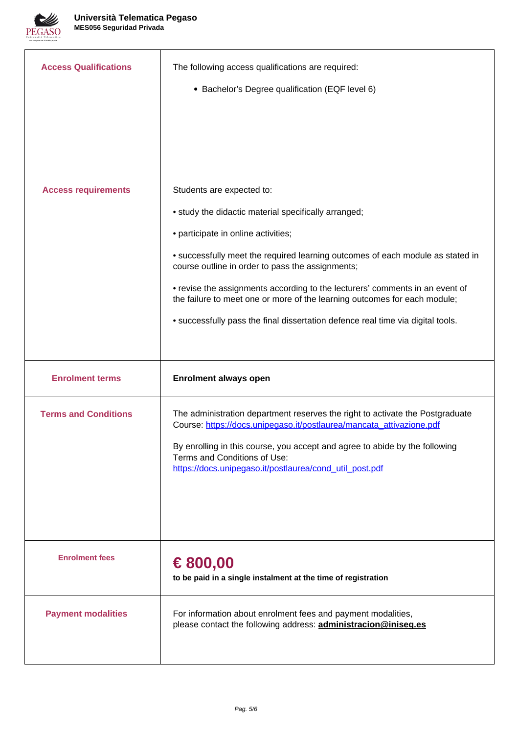

| <b>Access Qualifications</b> | The following access qualifications are required:<br>• Bachelor's Degree qualification (EQF level 6)                                                                                                                                                                                                                                                                                                                                                                                                           |
|------------------------------|----------------------------------------------------------------------------------------------------------------------------------------------------------------------------------------------------------------------------------------------------------------------------------------------------------------------------------------------------------------------------------------------------------------------------------------------------------------------------------------------------------------|
| <b>Access requirements</b>   | Students are expected to:<br>• study the didactic material specifically arranged;<br>• participate in online activities;<br>• successfully meet the required learning outcomes of each module as stated in<br>course outline in order to pass the assignments;<br>• revise the assignments according to the lecturers' comments in an event of<br>the failure to meet one or more of the learning outcomes for each module;<br>• successfully pass the final dissertation defence real time via digital tools. |
| <b>Enrolment terms</b>       | <b>Enrolment always open</b>                                                                                                                                                                                                                                                                                                                                                                                                                                                                                   |
| <b>Terms and Conditions</b>  | The administration department reserves the right to activate the Postgraduate<br>Course: https://docs.unipegaso.it/postlaurea/mancata attivazione.pdf<br>By enrolling in this course, you accept and agree to abide by the following<br>Terms and Conditions of Use:<br>https://docs.unipegaso.it/postlaurea/cond_util_post.pdf                                                                                                                                                                                |
| <b>Enrolment fees</b>        | € 800,00<br>to be paid in a single instalment at the time of registration                                                                                                                                                                                                                                                                                                                                                                                                                                      |
| <b>Payment modalities</b>    | For information about enrolment fees and payment modalities,<br>please contact the following address: <b>administracion@iniseq.es</b>                                                                                                                                                                                                                                                                                                                                                                          |